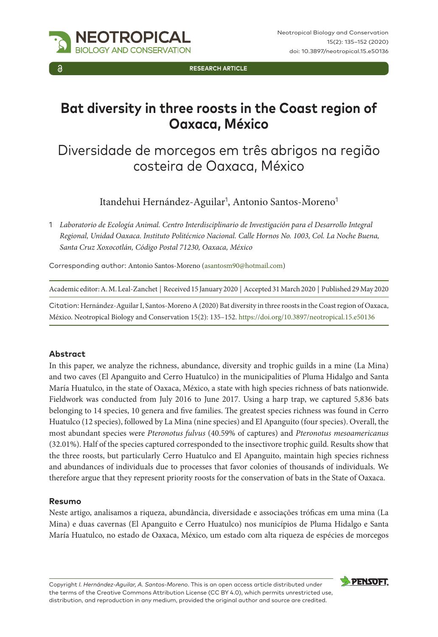

**Research Article**

# **Bat diversity in three roosts in the Coast region of Oaxaca, México**

# Diversidade de morcegos em três abrigos na região costeira de Oaxaca, México

Itandehui Hernández-Aguilar<sup>1</sup>, Antonio Santos-Moreno<sup>1</sup>

1 *Laboratorio de Ecología Animal. Centro Interdisciplinario de Investigación para el Desarrollo Integral Regional, Unidad Oaxaca. Instituto Politécnico Nacional. Calle Hornos No. 1003, Col. La Noche Buena, Santa Cruz Xoxocotlán, Código Postal 71230, Oaxaca, México*

Corresponding author: Antonio Santos-Moreno ([asantosm90@hotmail.com](mailto:asantosm90@hotmail.com))

Academic editor: A. M. Leal-Zanchet | Received 15 January 2020 | Accepted 31 March 2020 | Published 29 May 2020

Citation: Hernández-Aguilar I, Santos-Moreno A (2020) Bat diversity in three roosts in the Coast region of Oaxaca, México. Neotropical Biology and Conservation 15(2): 135–152.<https://doi.org/10.3897/neotropical.15.e50136>

#### **Abstract**

In this paper, we analyze the richness, abundance, diversity and trophic guilds in a mine (La Mina) and two caves (El Apanguito and Cerro Huatulco) in the municipalities of Pluma Hidalgo and Santa María Huatulco, in the state of Oaxaca, México, a state with high species richness of bats nationwide. Fieldwork was conducted from July 2016 to June 2017. Using a harp trap, we captured 5,836 bats belonging to 14 species, 10 genera and five families. The greatest species richness was found in Cerro Huatulco (12 species), followed by La Mina (nine species) and El Apanguito (four species). Overall, the most abundant species were *Pteronotus fulvus* (40.59% of captures) and *Pteronotus mesoamericanus* (32.01%). Half of the species captured corresponded to the insectivore trophic guild. Results show that the three roosts, but particularly Cerro Huatulco and El Apanguito, maintain high species richness and abundances of individuals due to processes that favor colonies of thousands of individuals. We therefore argue that they represent priority roosts for the conservation of bats in the State of Oaxaca.

#### **Resumo**

Neste artigo, analisamos a riqueza, abundância, diversidade e associações tróficas em uma mina (La Mina) e duas cavernas (El Apanguito e Cerro Huatulco) nos municípios de Pluma Hidalgo e Santa María Huatulco, no estado de Oaxaca, México, um estado com alta riqueza de espécies de morcegos

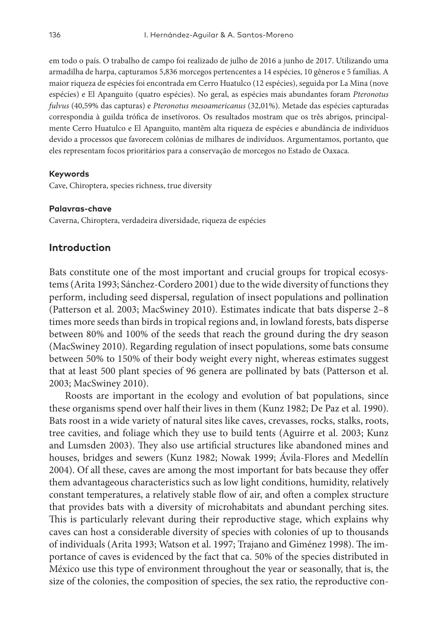em todo o país. O trabalho de campo foi realizado de julho de 2016 a junho de 2017. Utilizando uma armadilha de harpa, capturamos 5,836 morcegos pertencentes a 14 espécies, 10 gêneros e 5 famílias. A maior riqueza de espécies foi encontrada em Cerro Huatulco (12 espécies), seguida por La Mina (nove espécies) e El Apanguito (quatro espécies). No geral, as espécies mais abundantes foram *Pteronotus fulvus* (40,59% das capturas) e *Pteronotus mesoamericanus* (32,01%). Metade das espécies capturadas correspondia à guilda trófica de insetívoros. Os resultados mostram que os três abrigos, principalmente Cerro Huatulco e El Apanguito, mantêm alta riqueza de espécies e abundância de indivíduos devido a processos que favorecem colônias de milhares de indivíduos. Argumentamos, portanto, que eles representam focos prioritários para a conservação de morcegos no Estado de Oaxaca.

#### **Keywords**

Cave, Chiroptera, species richness, true diversity

#### **Palavras-chave**

Caverna, Chiroptera, verdadeira diversidade, riqueza de espécies

## **Introduction**

Bats constitute one of the most important and crucial groups for tropical ecosystems (Arita 1993; Sánchez-Cordero 2001) due to the wide diversity of functions they perform, including seed dispersal, regulation of insect populations and pollination (Patterson et al. 2003; MacSwiney 2010). Estimates indicate that bats disperse 2–8 times more seeds than birds in tropical regions and, in lowland forests, bats disperse between 80% and 100% of the seeds that reach the ground during the dry season (MacSwiney 2010). Regarding regulation of insect populations, some bats consume between 50% to 150% of their body weight every night, whereas estimates suggest that at least 500 plant species of 96 genera are pollinated by bats (Patterson et al. 2003; MacSwiney 2010).

Roosts are important in the ecology and evolution of bat populations, since these organisms spend over half their lives in them (Kunz 1982; De Paz et al. 1990). Bats roost in a wide variety of natural sites like caves, crevasses, rocks, stalks, roots, tree cavities, and foliage which they use to build tents (Aguirre et al. 2003; Kunz and Lumsden 2003). They also use artificial structures like abandoned mines and houses, bridges and sewers (Kunz 1982; Nowak 1999; Ávila-Flores and Medellín 2004). Of all these, caves are among the most important for bats because they offer them advantageous characteristics such as low light conditions, humidity, relatively constant temperatures, a relatively stable flow of air, and often a complex structure that provides bats with a diversity of microhabitats and abundant perching sites. This is particularly relevant during their reproductive stage, which explains why caves can host a considerable diversity of species with colonies of up to thousands of individuals (Arita 1993; Watson et al. 1997; Trajano and Giménez 1998). The importance of caves is evidenced by the fact that ca. 50% of the species distributed in México use this type of environment throughout the year or seasonally, that is, the size of the colonies, the composition of species, the sex ratio, the reproductive con-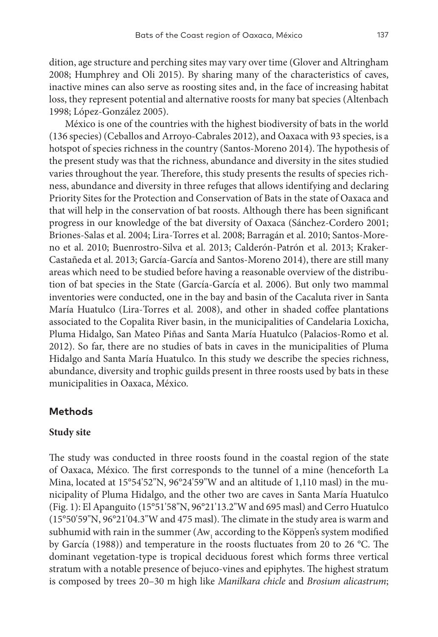dition, age structure and perching sites may vary over time (Glover and Altringham 2008; Humphrey and Oli 2015). By sharing many of the characteristics of caves, inactive mines can also serve as roosting sites and, in the face of increasing habitat loss, they represent potential and alternative roosts for many bat species (Altenbach 1998; López-González 2005).

México is one of the countries with the highest biodiversity of bats in the world (136 species) (Ceballos and Arroyo-Cabrales 2012), and Oaxaca with 93 species, is a hotspot of species richness in the country (Santos-Moreno 2014). The hypothesis of the present study was that the richness, abundance and diversity in the sites studied varies throughout the year. Therefore, this study presents the results of species richness, abundance and diversity in three refuges that allows identifying and declaring Priority Sites for the Protection and Conservation of Bats in the state of Oaxaca and that will help in the conservation of bat roosts. Although there has been significant progress in our knowledge of the bat diversity of Oaxaca (Sánchez-Cordero 2001; Briones-Salas et al. 2004; Lira-Torres et al. 2008; Barragán et al. 2010; Santos-Moreno et al. 2010; Buenrostro-Silva et al. 2013; Calderón-Patrón et al. 2013; Kraker-Castañeda et al. 2013; García-García and Santos-Moreno 2014), there are still many areas which need to be studied before having a reasonable overview of the distribution of bat species in the State (García-García et al. 2006). But only two mammal inventories were conducted, one in the bay and basin of the Cacaluta river in Santa María Huatulco (Lira-Torres et al. 2008), and other in shaded coffee plantations associated to the Copalita River basin, in the municipalities of Candelaria Loxicha, Pluma Hidalgo, San Mateo Piñas and Santa María Huatulco (Palacios-Romo et al. 2012). So far, there are no studies of bats in caves in the municipalities of Pluma Hidalgo and Santa María Huatulco. In this study we describe the species richness, abundance, diversity and trophic guilds present in three roosts used by bats in these municipalities in Oaxaca, México.

## **Methods**

## **Study site**

The study was conducted in three roosts found in the coastal region of the state of Oaxaca, México. The first corresponds to the tunnel of a mine (henceforth La Mina, located at 15°54'52"N, 96°24'59"W and an altitude of 1,110 masl) in the municipality of Pluma Hidalgo, and the other two are caves in Santa María Huatulco (Fig. 1): El Apanguito (15°51'58"N, 96°21'13.2"W and 695 masl) and Cerro Huatulco (15°50'59"N, 96°21'04.3"W and 475 masl). The climate in the study area is warm and subhumid with rain in the summer (Aw $_{\rm_1}$  according to the Köppen's system modified by García (1988)) and temperature in the roosts fluctuates from 20 to 26 °C. The dominant vegetation-type is tropical deciduous forest which forms three vertical stratum with a notable presence of bejuco-vines and epiphytes. The highest stratum is composed by trees 20–30 m high like *Manilkara chicle* and *Brosium alicastrum*;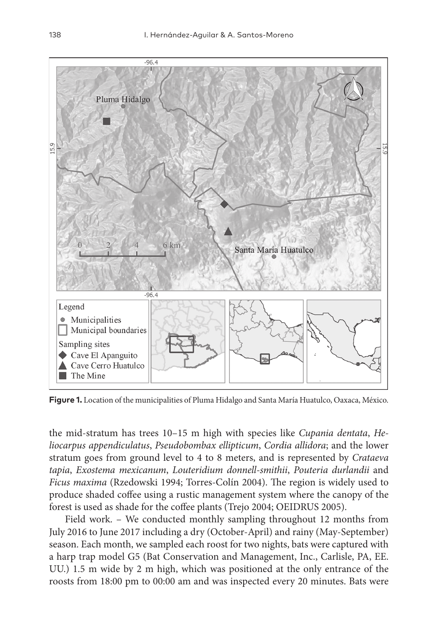

**Figure 1.** Location of the municipalities of Pluma Hidalgo and Santa María Huatulco, Oaxaca, México.

the mid-stratum has trees 10–15 m high with species like *Cupania dentata*, *Heliocarpus appendiculatus*, *Pseudobombax ellipticum*, *Cordia allidora*; and the lower stratum goes from ground level to 4 to 8 meters, and is represented by *Crataeva tapia*, *Exostema mexicanum*, *Louteridium donnell-smithii*, *Pouteria durlandii* and *Ficus maxima* (Rzedowski 1994; Torres-Colín 2004). The region is widely used to produce shaded coffee using a rustic management system where the canopy of the forest is used as shade for the coffee plants (Trejo 2004; OEIDRUS 2005).

Field work. – We conducted monthly sampling throughout 12 months from July 2016 to June 2017 including a dry (October-April) and rainy (May-September) season. Each month, we sampled each roost for two nights, bats were captured with a harp trap model G5 (Bat Conservation and Management, Inc., Carlisle, PA, EE. UU.) 1.5 m wide by 2 m high, which was positioned at the only entrance of the roosts from 18:00 pm to 00:00 am and was inspected every 20 minutes. Bats were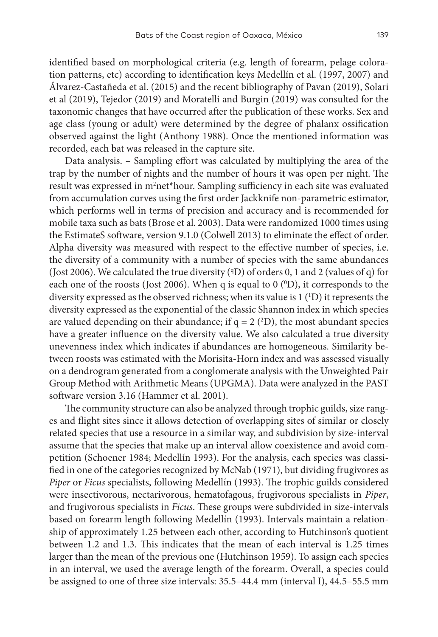identified based on morphological criteria (e.g. length of forearm, pelage coloration patterns, etc) according to identification keys Medellín et al. (1997, 2007) and Álvarez-Castañeda et al. (2015) and the recent bibliography of Pavan (2019), Solari et al (2019), Tejedor (2019) and Moratelli and Burgin (2019) was consulted for the taxonomic changes that have occurred after the publication of these works. Sex and age class (young or adult) were determined by the degree of phalanx ossification observed against the light (Anthony 1988). Once the mentioned information was recorded, each bat was released in the capture site.

Data analysis. – Sampling effort was calculated by multiplying the area of the trap by the number of nights and the number of hours it was open per night. The result was expressed in m<sup>2</sup>net\*hour. Sampling sufficiency in each site was evaluated from accumulation curves using the first order Jackknife non-parametric estimator, which performs well in terms of precision and accuracy and is recommended for mobile taxa such as bats (Brose et al. 2003). Data were randomized 1000 times using the EstimateS software, version 9.1.0 (Colwell 2013) to eliminate the effect of order. Alpha diversity was measured with respect to the effective number of species, i.e. the diversity of a community with a number of species with the same abundances (Jost 2006). We calculated the true diversity ( ${}^{\text{q}}\text{D}$ ) of orders 0, 1 and 2 (values of q) for each one of the roosts (Jost 2006). When q is equal to 0 (<sup>o</sup>D), it corresponds to the diversity expressed as the observed richness; when its value is  $1(^{1}D)$  it represents the diversity expressed as the exponential of the classic Shannon index in which species are valued depending on their abundance; if  $q = 2 \, (^2D)$ , the most abundant species have a greater influence on the diversity value. We also calculated a true diversity unevenness index which indicates if abundances are homogeneous. Similarity between roosts was estimated with the Morisita-Horn index and was assessed visually on a dendrogram generated from a conglomerate analysis with the Unweighted Pair Group Method with Arithmetic Means (UPGMA). Data were analyzed in the PAST software version 3.16 (Hammer et al. 2001).

The community structure can also be analyzed through trophic guilds, size ranges and flight sites since it allows detection of overlapping sites of similar or closely related species that use a resource in a similar way, and subdivision by size-interval assume that the species that make up an interval allow coexistence and avoid competition (Schoener 1984; Medellín 1993). For the analysis, each species was classified in one of the categories recognized by McNab (1971), but dividing frugivores as *Piper* or *Ficus* specialists, following Medellín (1993). The trophic guilds considered were insectivorous, nectarivorous, hematofagous, frugivorous specialists in *Piper*, and frugivorous specialists in *Ficus*. These groups were subdivided in size-intervals based on forearm length following Medellín (1993). Intervals maintain a relationship of approximately 1.25 between each other, according to Hutchinson's quotient between 1.2 and 1.3. This indicates that the mean of each interval is 1.25 times larger than the mean of the previous one (Hutchinson 1959). To assign each species in an interval, we used the average length of the forearm. Overall, a species could be assigned to one of three size intervals: 35.5–44.4 mm (interval I), 44.5–55.5 mm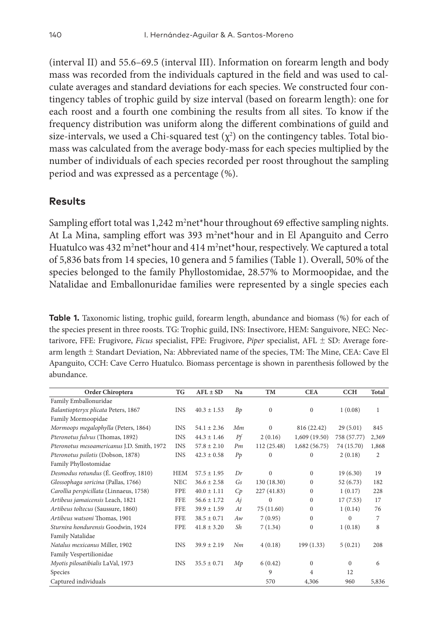(interval II) and 55.6–69.5 (interval III). Information on forearm length and body mass was recorded from the individuals captured in the field and was used to calculate averages and standard deviations for each species. We constructed four contingency tables of trophic guild by size interval (based on forearm length): one for each roost and a fourth one combining the results from all sites. To know if the frequency distribution was uniform along the different combinations of guild and size-intervals, we used a Chi-squared test  $(\chi^2)$  on the contingency tables. Total biomass was calculated from the average body-mass for each species multiplied by the number of individuals of each species recorded per roost throughout the sampling period and was expressed as a percentage (%).

# **Results**

Sampling effort total was  $1,242$  m<sup>2</sup>net\*hour throughout 69 effective sampling nights. At La Mina, sampling effort was 393 m<sup>2</sup>net\*hour and in El Apanguito and Cerro Huatulco was 432 m<sup>2</sup>net\*hour and 414 m<sup>2</sup>net\*hour, respectively. We captured a total of 5,836 bats from 14 species, 10 genera and 5 families (Table 1). Overall, 50% of the species belonged to the family Phyllostomidae, 28.57% to Mormoopidae, and the Natalidae and Emballonuridae families were represented by a single species each

**Table 1.** Taxonomic listing, trophic guild, forearm length, abundance and biomass (%) for each of the species present in three roosts. TG: Trophic guild, INS: Insectivore, HEM: Sanguivore, NEC: Nectarivore, FFE: Frugivore, *Ficus* specialist, FPE: Frugivore, *Piper* specialist, AFL ± SD: Average forearm length ± Standart Deviation, Na: Abbreviated name of the species, TM: The Mine, CEA: Cave El Apanguito, CCH: Cave Cerro Huatulco. Biomass percentage is shown in parenthesis followed by the abundance.

| Order Chiroptera                           | TG         | $AFL \pm SD$    | Na | <b>TM</b>    | <b>CEA</b>   | <b>CCH</b>   | Total          |
|--------------------------------------------|------------|-----------------|----|--------------|--------------|--------------|----------------|
| Family Emballonuridae                      |            |                 |    |              |              |              |                |
| Balantiopteryx plicata Peters, 1867        | <b>INS</b> | $40.3 \pm 1.53$ | Bp | $\mathbf{0}$ | $\mathbf{0}$ | 1(0.08)      | $\mathbf{1}$   |
| Family Mormoopidae                         |            |                 |    |              |              |              |                |
| Mormoops megalophylla (Peters, 1864)       | <b>INS</b> | $54.1 \pm 2.36$ | Mm | 0            | 816 (22.42)  | 29(5.01)     | 845            |
| Pteronotus fulvus (Thomas, 1892)           | <b>INS</b> | $44.3 \pm 1.46$ | Pf | 2(0.16)      | 1,609(19.50) | 758 (57.77)  | 2,369          |
| Pteronotus mesoamericanus J.D. Smith, 1972 | <b>INS</b> | $57.8 \pm 2.10$ | Pm | 112 (25.48)  | 1,682(56.75) | 74 (15.70)   | 1,868          |
| Pteronotus psilotis (Dobson, 1878)         | <b>INS</b> | $42.3 \pm 0.58$ | Pp | $\Omega$     | $\Omega$     | 2(0.18)      | $\overline{2}$ |
| Family Phyllostomidae                      |            |                 |    |              |              |              |                |
| Desmodus rotundus (É. Geoffroy, 1810)      | <b>HEM</b> | $57.5 \pm 1.95$ | Dr | $\mathbf{0}$ | $\Omega$     | 19(6.30)     | 19             |
| Glossophaga soricina (Pallas, 1766)        | <b>NEC</b> | $36.6 \pm 2.58$ | Gs | 130 (18.30)  | $\Omega$     | 52 (6.73)    | 182            |
| Carollia perspicillata (Linnaeus, 1758)    | <b>FPE</b> | $40.0 \pm 1.11$ | Cp | 227 (41.83)  | $\Omega$     | 1(0.17)      | 228            |
| Artibeus jamaicensis Leach, 1821           | <b>FFE</b> | $56.6 \pm 1.72$ | Aj | $\mathbf{0}$ | $\Omega$     | 17(7.53)     | 17             |
| Artibeus toltecus (Saussure, 1860)         | <b>FFE</b> | $39.9 \pm 1.59$ | At | 75 (11.60)   | $\mathbf{0}$ | 1(0.14)      | 76             |
| Artibeus watsoni Thomas, 1901              | <b>FFE</b> | $38.5 \pm 0.71$ | Aw | 7(0.95)      | $\Omega$     | $\Omega$     | 7              |
| Sturnira hondurensis Goodwin, 1924         | <b>FPE</b> | $41.8 \pm 3.20$ | Sh | 7(1.34)      | $\mathbf{0}$ | 1(0.18)      | 8              |
| Family Natalidae                           |            |                 |    |              |              |              |                |
| Natalus mexicanus Miller, 1902             | <b>INS</b> | $39.9 + 2.19$   | Nm | 4(0.18)      | 199 (1.33)   | 5(0.21)      | 208            |
| Family Vespertilionidae                    |            |                 |    |              |              |              |                |
| Myotis pilosatibialis LaVal, 1973          | <b>INS</b> | $35.5 \pm 0.71$ | Mp | 6(0.42)      | $\Omega$     | $\mathbf{0}$ | 6              |
| Species                                    |            |                 |    | 9            | 4            | 12           |                |
| Captured individuals                       |            |                 |    | 570          | 4,306        | 960          | 5,836          |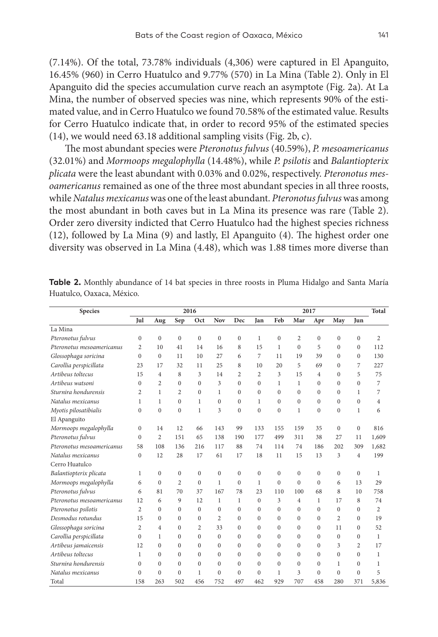(7.14%). Of the total, 73.78% individuals (4,306) were captured in El Apanguito, 16.45% (960) in Cerro Huatulco and 9.77% (570) in La Mina (Table 2). Only in El Apanguito did the species accumulation curve reach an asymptote (Fig. 2a). At La Mina, the number of observed species was nine, which represents 90% of the estimated value, and in Cerro Huatulco we found 70.58% of the estimated value. Results for Cerro Huatulco indicate that, in order to record 95% of the estimated species (14), we would need 63.18 additional sampling visits (Fig. 2b, c).

The most abundant species were *Pteronotus fulvus* (40.59%), *P. mesoamericanus* (32.01%) and *Mormoops megalophylla* (14.48%), while *P. psilotis* and *Balantiopterix plicata* were the least abundant with 0.03% and 0.02%, respectively. *Pteronotus mesoamericanus* remained as one of the three most abundant species in all three roosts, while *Natalus mexicanus* was one of the least abundant. *Pteronotus fulvus* was among the most abundant in both caves but in La Mina its presence was rare (Table 2). Order zero diversity indicted that Cerro Huatulco had the highest species richness (12), followed by La Mina (9) and lastly, El Apanguito (4). The highest order one diversity was observed in La Mina (4.48), which was 1.88 times more diverse than

| Species                   | 2016           |                  |                |              |                | 2017           |                |              |                |                | <b>Total</b>     |                  |       |
|---------------------------|----------------|------------------|----------------|--------------|----------------|----------------|----------------|--------------|----------------|----------------|------------------|------------------|-------|
|                           | Jul            | Aug              | Sep            | Oct          | Nov            | Dec            | Jan            | Feb          | Mar            | Apr            | May              | Jun              |       |
| La Mina                   |                |                  |                |              |                |                |                |              |                |                |                  |                  |       |
| Pteronotus fulvus         | $\mathbf{0}$   | $\boldsymbol{0}$ | $\Omega$       | $\mathbf{0}$ | $\mathbf{0}$   | $\mathbf{0}$   | $\mathbf{1}$   | $\mathbf{0}$ | 2              | $\mathbf{0}$   | $\boldsymbol{0}$ | $\boldsymbol{0}$ | 2     |
| Pteronotus mesoamericanus | 2              | 10               | 41             | 14           | 16             | 8              | 15             | $\mathbf{1}$ | $\Omega$       | 5              | $\mathbf{0}$     | $\mathbf{0}$     | 112   |
| Glossophaga soricina      | $\Omega$       | $\mathbf{0}$     | 11             | 10           | 27             | 6              | 7              | 11           | 19             | 39             | $\mathbf{0}$     | $\mathbf{0}$     | 130   |
| Carollia perspicillata    | 23             | 17               | 32             | 11           | 25             | 8              | 10             | 20           | 5              | 69             | $\mathbf{0}$     | 7                | 227   |
| Artibeus toltecus         | 15             | 4                | 8              | 3            | 14             | $\overline{2}$ | $\overline{c}$ | 3            | 15             | $\overline{4}$ | $\mathbf{0}$     | 5                | 75    |
| Artibeus watsoni          | $\Omega$       | 2                | $\Omega$       | $\Omega$     | 3              | $\mathbf{0}$   | $\mathbf{0}$   | $\mathbf{1}$ | $\mathbf{1}$   | $\theta$       | $\mathbf{0}$     | $\mathbf{0}$     | 7     |
| Sturnira hondurensis      | 2              | $\mathbf{1}$     | $\overline{c}$ | $\Omega$     | 1              | $\mathbf{0}$   | $\mathbf{0}$   | $\Omega$     | $\Omega$       | $\theta$       | $\mathbf{0}$     | $\mathbf{1}$     | 7     |
| Natalus mexicanus         | 1              | 1                | $\Omega$       | $\mathbf{1}$ | $\Omega$       | $\mathbf{0}$   | 1              | $\Omega$     | $\Omega$       | $\theta$       | $\mathbf{0}$     | $\mathbf{0}$     | 4     |
| Myotis pilosatibialis     | $\mathbf{0}$   | $\overline{0}$   | $\mathbf{0}$   | $\mathbf{1}$ | 3              | $\mathbf{0}$   | $\mathbf{0}$   | $\mathbf{0}$ | $\mathbf{1}$   | $\mathbf{0}$   | $\mathbf{0}$     | $\mathbf{1}$     | 6     |
| El Apanguito              |                |                  |                |              |                |                |                |              |                |                |                  |                  |       |
| Mormoops megalophylla     | $\mathbf{0}$   | 14               | 12             | 66           | 143            | 99             | 133            | 155          | 159            | 35             | $\Omega$         | $\mathbf{0}$     | 816   |
| Pteronotus fulvus         | $\Omega$       | 2                | 151            | 65           | 138            | 190            | 177            | 499          | 311            | 38             | 27               | 11               | 1,609 |
| Pteronotus mesoamericanus | 58             | 108              | 136            | 216          | 117            | 88             | 74             | 114          | 74             | 186            | 202              | 309              | 1,682 |
| Natalus mexicanus         | $\mathbf{0}$   | 12               | 28             | 17           | 61             | 17             | 18             | 11           | 15             | 13             | 3                | $\overline{4}$   | 199   |
| Cerro Huatulco            |                |                  |                |              |                |                |                |              |                |                |                  |                  |       |
| Balantiopterix plicata    | 1              | $\mathbf{0}$     | $\mathbf{0}$   | $\mathbf{0}$ | $\mathbf{0}$   | $\mathbf{0}$   | $\mathbf{0}$   | $\mathbf{0}$ | $\mathbf{0}$   | $\mathbf{0}$   | $\mathbf{0}$     | $\mathbf{0}$     | 1     |
| Mormoops megalophylla     | 6              | $\mathbf{0}$     | $\overline{c}$ | $\Omega$     | 1              | $\mathbf{0}$   | $\mathbf{1}$   | $\mathbf{0}$ | $\Omega$       | $\theta$       | 6                | 13               | 29    |
| Pteronotus fulvus         | 6              | 81               | 70             | 37           | 167            | 78             | 23             | 110          | 100            | 68             | 8                | 10               | 758   |
| Pteronotus mesoamericanus | 12             | 6                | 9              | 12           | $\mathbf{1}$   | $\mathbf{1}$   | $\mathbf{0}$   | 3            | $\overline{4}$ | $\mathbf{1}$   | 17               | 8                | 74    |
| Pteronotus psilotis       | $\overline{2}$ | $\mathbf{0}$     | $\mathbf{0}$   | $\theta$     | $\Omega$       | $\mathbf{0}$   | $\mathbf{0}$   | $\mathbf{0}$ | $\Omega$       | $\theta$       | $\mathbf{0}$     | $\mathbf{0}$     | 2     |
| Desmodus rotundus         | 15             | 0                | $\mathbf{0}$   | $\Omega$     | $\overline{2}$ | $\mathbf{0}$   | $\mathbf{0}$   | $\mathbf{0}$ | $\Omega$       | $\mathbf{0}$   | 2                | $\mathbf{0}$     | 19    |
| Glossophaga soricina      | $\overline{2}$ | 4                | $\mathbf{0}$   | 2            | 33             | $\mathbf{0}$   | $\mathbf{0}$   | $\Omega$     | $\Omega$       | $\Omega$       | 11               | $\mathbf{0}$     | 52    |
| Carollia perspicillata    | $\mathbf{0}$   | 1                | $\mathbf{0}$   | $\mathbf{0}$ | $\Omega$       | $\mathbf{0}$   | $\mathbf{0}$   | $\mathbf{0}$ | $\Omega$       | $\Omega$       | $\mathbf{0}$     | $\mathbf{0}$     | 1     |
| Artibeus jamaicensis      | 12             | $\mathbf{0}$     | $\mathbf{0}$   | $\theta$     | $\Omega$       | $\mathbf{0}$   | $\mathbf{0}$   | $\mathbf{0}$ | $\Omega$       | $\theta$       | 3                | $\overline{2}$   | 17    |
| Artibeus toltecus         | $\mathbf{1}$   | $\mathbf{0}$     | $\Omega$       | $\theta$     | $\Omega$       | $\mathbf{0}$   | $\mathbf{0}$   | $\Omega$     | $\Omega$       | $\theta$       | $\mathbf{0}$     | $\mathbf{0}$     | 1     |
| Sturnira hondurensis      | $\Omega$       | $\mathbf{0}$     | $\Omega$       | $\theta$     | $\Omega$       | $\Omega$       | $\mathbf{0}$   | $\theta$     | $\Omega$       | $\Omega$       | $\mathbf{1}$     | $\mathbf{0}$     | 1     |
| Natalus mexicanus         | $\mathbf{0}$   | $\mathbf{0}$     | $\mathbf{0}$   | 1            | $\theta$       | $\mathbf{0}$   | $\mathbf{0}$   | $\mathbf{1}$ | 3              | $\Omega$       | $\Omega$         | $\mathbf{0}$     | 5     |
| Total                     | 158            | 263              | 502            | 456          | 752            | 497            | 462            | 929          | 707            | 458            | 280              | 371              | 5,836 |

**Table 2.** Monthly abundance of 14 bat species in three roosts in Pluma Hidalgo and Santa María Huatulco, Oaxaca, México.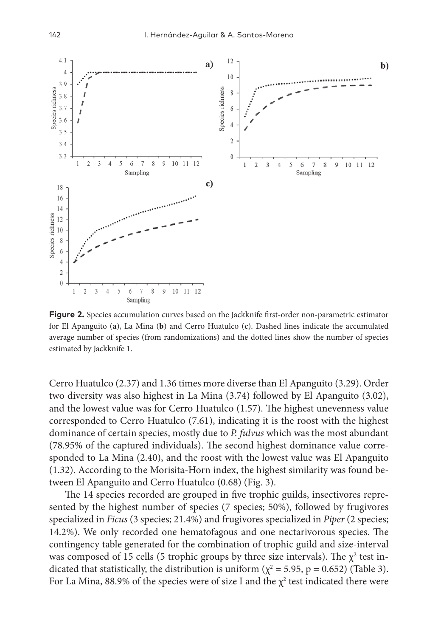

**Figure 2.** Species accumulation curves based on the Jackknife first-order non-parametric estimator for El Apanguito (**a**), La Mina (**b**) and Cerro Huatulco (**c**). Dashed lines indicate the accumulated average number of species (from randomizations) and the dotted lines show the number of species estimated by Jackknife 1.

Cerro Huatulco (2.37) and 1.36 times more diverse than El Apanguito (3.29). Order two diversity was also highest in La Mina (3.74) followed by El Apanguito (3.02), and the lowest value was for Cerro Huatulco (1.57). The highest unevenness value corresponded to Cerro Huatulco (7.61), indicating it is the roost with the highest dominance of certain species, mostly due to *P. fulvus* which was the most abundant (78.95% of the captured individuals). The second highest dominance value corresponded to La Mina (2.40), and the roost with the lowest value was El Apanguito (1.32). According to the Morisita-Horn index, the highest similarity was found between El Apanguito and Cerro Huatulco (0.68) (Fig. 3).

The 14 species recorded are grouped in five trophic guilds, insectivores represented by the highest number of species (7 species; 50%), followed by frugivores specialized in *Ficus* (3 species; 21.4%) and frugivores specialized in *Piper* (2 species; 14.2%). We only recorded one hematofagous and one nectarivorous species. The contingency table generated for the combination of trophic guild and size-interval was composed of 15 cells (5 trophic groups by three size intervals). The  $\chi^2$  test indicated that statistically, the distribution is uniform ( $\chi^2$  = 5.95, p = 0.652) (Table 3). For La Mina, 88.9% of the species were of size I and the  $\chi^2$  test indicated there were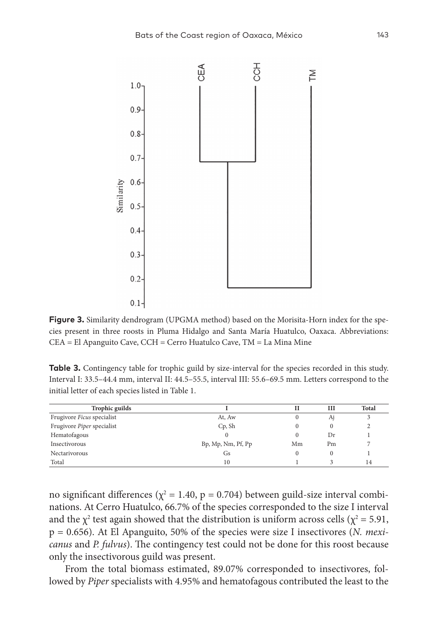

**Figure 3.** Similarity dendrogram (UPGMA method) based on the Morisita-Horn index for the species present in three roosts in Pluma Hidalgo and Santa María Huatulco, Oaxaca. Abbreviations: CEA = El Apanguito Cave, CCH = Cerro Huatulco Cave, TM = La Mina Mine

**Table 3.** Contingency table for trophic guild by size-interval for the species recorded in this study. Interval I: 33.5–44.4 mm, interval II: 44.5–55.5, interval III: 55.6–69.5 mm. Letters correspond to the initial letter of each species listed in Table 1.

| Trophic guilds             |                    |          | Ш        | <b>Total</b> |
|----------------------------|--------------------|----------|----------|--------------|
| Frugivore Ficus specialist | At, Aw             | $\theta$ | Aj       |              |
| Frugivore Piper specialist | $Cp$ , Sh          | 0        | $\Omega$ |              |
| Hematofagous               |                    | $\Omega$ | Dr       |              |
| Insectivorous              | Bp, Mp, Nm, Pf, Pp | Mm       | Pm       |              |
| Nectarivorous              | Gs                 | $\Omega$ | 0        |              |
| Total                      | 10                 |          |          | 14           |

no significant differences ( $\chi^2$  = 1.40, p = 0.704) between guild-size interval combinations. At Cerro Huatulco, 66.7% of the species corresponded to the size I interval and the  $\chi^2$  test again showed that the distribution is uniform across cells ( $\chi^2$  = 5.91, p = 0.656). At El Apanguito, 50% of the species were size I insectivores (*N. mexicanus* and *P. fulvus*). The contingency test could not be done for this roost because only the insectivorous guild was present.

From the total biomass estimated, 89.07% corresponded to insectivores, followed by *Piper* specialists with 4.95% and hematofagous contributed the least to the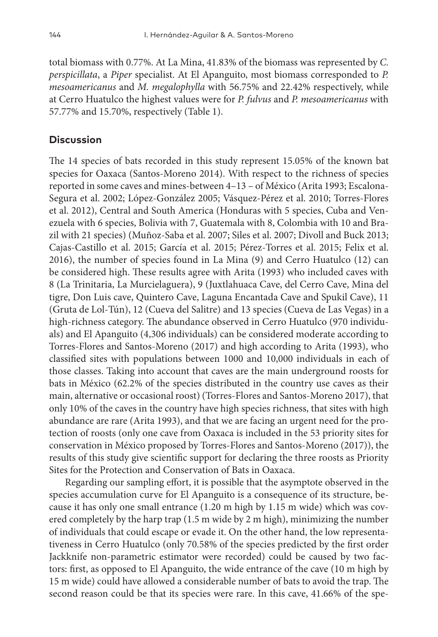total biomass with 0.77%. At La Mina, 41.83% of the biomass was represented by *C. perspicillata*, a *Piper* specialist. At El Apanguito, most biomass corresponded to *P. mesoamericanus* and *M. megalophylla* with 56.75% and 22.42% respectively, while at Cerro Huatulco the highest values were for *P. fulvus* and *P. mesoamericanus* with 57.77% and 15.70%, respectively (Table 1).

# **Discussion**

The 14 species of bats recorded in this study represent 15.05% of the known bat species for Oaxaca (Santos-Moreno 2014). With respect to the richness of species reported in some caves and mines-between 4–13 – of México (Arita 1993; Escalona-Segura et al. 2002; López-González 2005; Vásquez-Pérez et al. 2010; Torres-Flores et al. 2012), Central and South America (Honduras with 5 species, Cuba and Venezuela with 6 species, Bolivia with 7, Guatemala with 8, Colombia with 10 and Brazil with 21 species) (Muñoz-Saba et al. 2007; Siles et al. 2007; Divoll and Buck 2013; Cajas-Castillo et al. 2015; García et al. 2015; Pérez-Torres et al. 2015; Felix et al. 2016), the number of species found in La Mina (9) and Cerro Huatulco (12) can be considered high. These results agree with Arita (1993) who included caves with 8 (La Trinitaria, La Murcielaguera), 9 (Juxtlahuaca Cave, del Cerro Cave, Mina del tigre, Don Luis cave, Quintero Cave, Laguna Encantada Cave and Spukil Cave), 11 (Gruta de Lol-Tún), 12 (Cueva del Salitre) and 13 species (Cueva de Las Vegas) in a high-richness category. The abundance observed in Cerro Huatulco (970 individuals) and El Apanguito (4,306 individuals) can be considered moderate according to Torres-Flores and Santos-Moreno (2017) and high according to Arita (1993), who classified sites with populations between 1000 and 10,000 individuals in each of those classes. Taking into account that caves are the main underground roosts for bats in México (62.2% of the species distributed in the country use caves as their main, alternative or occasional roost) (Torres-Flores and Santos-Moreno 2017), that only 10% of the caves in the country have high species richness, that sites with high abundance are rare (Arita 1993), and that we are facing an urgent need for the protection of roosts (only one cave from Oaxaca is included in the 53 priority sites for conservation in México proposed by Torres-Flores and Santos-Moreno (2017)), the results of this study give scientific support for declaring the three roosts as Priority Sites for the Protection and Conservation of Bats in Oaxaca.

Regarding our sampling effort, it is possible that the asymptote observed in the species accumulation curve for El Apanguito is a consequence of its structure, because it has only one small entrance (1.20 m high by 1.15 m wide) which was covered completely by the harp trap (1.5 m wide by 2 m high), minimizing the number of individuals that could escape or evade it. On the other hand, the low representativeness in Cerro Huatulco (only 70.58% of the species predicted by the first order Jackknife non-parametric estimator were recorded) could be caused by two factors: first, as opposed to El Apanguito, the wide entrance of the cave (10 m high by 15 m wide) could have allowed a considerable number of bats to avoid the trap. The second reason could be that its species were rare. In this cave, 41.66% of the spe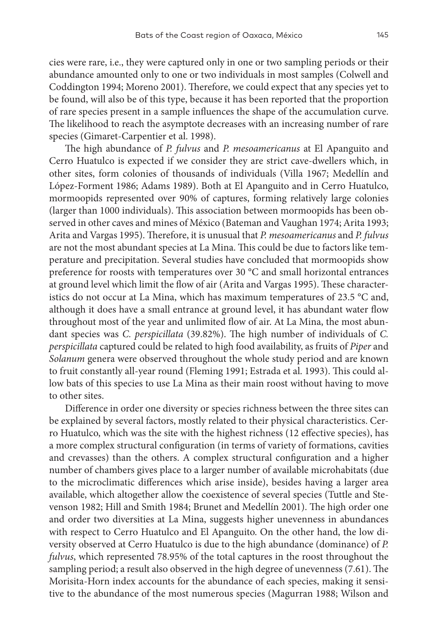cies were rare, i.e., they were captured only in one or two sampling periods or their abundance amounted only to one or two individuals in most samples (Colwell and Coddington 1994; Moreno 2001). Therefore, we could expect that any species yet to be found, will also be of this type, because it has been reported that the proportion of rare species present in a sample influences the shape of the accumulation curve. The likelihood to reach the asymptote decreases with an increasing number of rare species (Gimaret-Carpentier et al. 1998).

The high abundance of *P. fulvus* and *P. mesoamericanus* at El Apanguito and Cerro Huatulco is expected if we consider they are strict cave-dwellers which, in other sites, form colonies of thousands of individuals (Villa 1967; Medellín and López-Forment 1986; Adams 1989). Both at El Apanguito and in Cerro Huatulco, mormoopids represented over 90% of captures, forming relatively large colonies (larger than 1000 individuals). This association between mormoopids has been observed in other caves and mines of México (Bateman and Vaughan 1974; Arita 1993; Arita and Vargas 1995). Therefore, it is unusual that *P. mesoamericanus* and *P. fulvus* are not the most abundant species at La Mina. This could be due to factors like temperature and precipitation. Several studies have concluded that mormoopids show preference for roosts with temperatures over 30 °C and small horizontal entrances at ground level which limit the flow of air (Arita and Vargas 1995). These characteristics do not occur at La Mina, which has maximum temperatures of 23.5 °C and, although it does have a small entrance at ground level, it has abundant water flow throughout most of the year and unlimited flow of air. At La Mina, the most abundant species was *C. perspicillata* (39.82%). The high number of individuals of *C. perspicillata* captured could be related to high food availability, as fruits of *Piper* and *Solanum* genera were observed throughout the whole study period and are known to fruit constantly all-year round (Fleming 1991; Estrada et al. 1993). This could allow bats of this species to use La Mina as their main roost without having to move to other sites.

Difference in order one diversity or species richness between the three sites can be explained by several factors, mostly related to their physical characteristics. Cerro Huatulco, which was the site with the highest richness (12 effective species), has a more complex structural configuration (in terms of variety of formations, cavities and crevasses) than the others. A complex structural configuration and a higher number of chambers gives place to a larger number of available microhabitats (due to the microclimatic differences which arise inside), besides having a larger area available, which altogether allow the coexistence of several species (Tuttle and Stevenson 1982; Hill and Smith 1984; Brunet and Medellín 2001). The high order one and order two diversities at La Mina, suggests higher unevenness in abundances with respect to Cerro Huatulco and El Apanguito. On the other hand, the low diversity observed at Cerro Huatulco is due to the high abundance (dominance) of *P. fulvus*, which represented 78.95% of the total captures in the roost throughout the sampling period; a result also observed in the high degree of unevenness (7.61). The Morisita-Horn index accounts for the abundance of each species, making it sensitive to the abundance of the most numerous species (Magurran 1988; Wilson and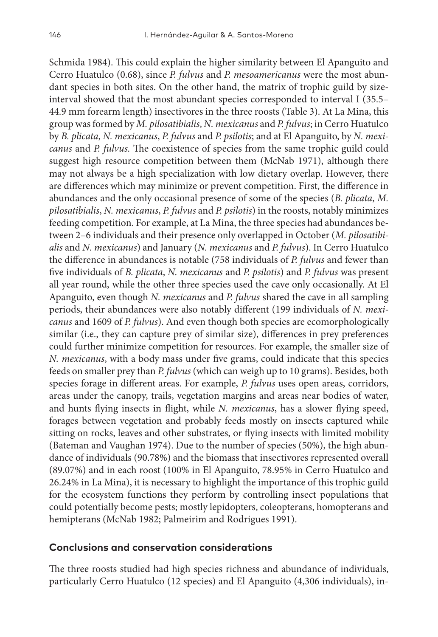Schmida 1984). This could explain the higher similarity between El Apanguito and Cerro Huatulco (0.68), since *P. fulvus* and *P. mesoamericanus* were the most abundant species in both sites. On the other hand, the matrix of trophic guild by sizeinterval showed that the most abundant species corresponded to interval I (35.5– 44.9 mm forearm length) insectivores in the three roosts (Table 3). At La Mina, this group was formed by *M. pilosatibialis*, *N. mexicanus* and *P. fulvus*; in Cerro Huatulco by *B. plicata*, *N. mexicanus*, *P. fulvus* and *P. psilotis*; and at El Apanguito, by *N. mexicanus* and *P. fulvus.* The coexistence of species from the same trophic guild could suggest high resource competition between them (McNab 1971), although there may not always be a high specialization with low dietary overlap. However, there are differences which may minimize or prevent competition. First, the difference in abundances and the only occasional presence of some of the species (*B. plicata*, *M. pilosatibialis*, *N. mexicanus*, *P. fulvus* and *P. psilotis*) in the roosts, notably minimizes feeding competition. For example, at La Mina, the three species had abundances between 2–6 individuals and their presence only overlapped in October (*M. pilosatibialis* and *N. mexicanus*) and January (*N. mexicanus* and *P. fulvus*). In Cerro Huatulco the difference in abundances is notable (758 individuals of *P. fulvus* and fewer than five individuals of *B. plicata*, *N. mexicanus* and *P. psilotis*) and *P. fulvus* was present all year round, while the other three species used the cave only occasionally. At El Apanguito, even though *N. mexicanus* and *P. fulvus* shared the cave in all sampling periods, their abundances were also notably different (199 individuals of *N. mexicanus* and 1609 of *P. fulvus*). And even though both species are ecomorphologically similar (i.e., they can capture prey of similar size), differences in prey preferences could further minimize competition for resources. For example, the smaller size of *N. mexicanus*, with a body mass under five grams, could indicate that this species feeds on smaller prey than *P. fulvus* (which can weigh up to 10 grams). Besides, both species forage in different areas. For example, *P. fulvus* uses open areas, corridors, areas under the canopy, trails, vegetation margins and areas near bodies of water, and hunts flying insects in flight, while *N. mexicanus*, has a slower flying speed, forages between vegetation and probably feeds mostly on insects captured while sitting on rocks, leaves and other substrates, or flying insects with limited mobility (Bateman and Vaughan 1974). Due to the number of species (50%), the high abundance of individuals (90.78%) and the biomass that insectivores represented overall (89.07%) and in each roost (100% in El Apanguito, 78.95% in Cerro Huatulco and 26.24% in La Mina), it is necessary to highlight the importance of this trophic guild for the ecosystem functions they perform by controlling insect populations that could potentially become pests; mostly lepidopters, coleopterans, homopterans and hemipterans (McNab 1982; Palmeirim and Rodrigues 1991).

## **Conclusions and conservation considerations**

The three roosts studied had high species richness and abundance of individuals, particularly Cerro Huatulco (12 species) and El Apanguito (4,306 individuals), in-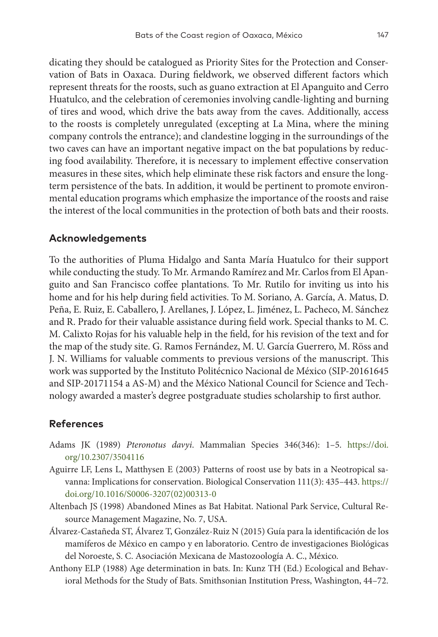dicating they should be catalogued as Priority Sites for the Protection and Conservation of Bats in Oaxaca. During fieldwork, we observed different factors which represent threats for the roosts, such as guano extraction at El Apanguito and Cerro Huatulco, and the celebration of ceremonies involving candle-lighting and burning of tires and wood, which drive the bats away from the caves. Additionally, access to the roosts is completely unregulated (excepting at La Mina, where the mining company controls the entrance); and clandestine logging in the surroundings of the two caves can have an important negative impact on the bat populations by reducing food availability. Therefore, it is necessary to implement effective conservation measures in these sites, which help eliminate these risk factors and ensure the longterm persistence of the bats. In addition, it would be pertinent to promote environmental education programs which emphasize the importance of the roosts and raise the interest of the local communities in the protection of both bats and their roosts.

## **Acknowledgements**

To the authorities of Pluma Hidalgo and Santa María Huatulco for their support while conducting the study. To Mr. Armando Ramírez and Mr. Carlos from El Apanguito and San Francisco coffee plantations. To Mr. Rutilo for inviting us into his home and for his help during field activities. To M. Soriano, A. García, A. Matus, D. Peña, E. Ruiz, E. Caballero, J. Arellanes, J. López, L. Jiménez, L. Pacheco, M. Sánchez and R. Prado for their valuable assistance during field work. Special thanks to M. C. M. Calixto Rojas for his valuable help in the field, for his revision of the text and for the map of the study site. G. Ramos Fernández, M. U. García Guerrero, M. Röss and J. N. Williams for valuable comments to previous versions of the manuscript. This work was supported by the Instituto Politécnico Nacional de México (SIP-20161645 and SIP-20171154 a AS-M) and the México National Council for Science and Technology awarded a master's degree postgraduate studies scholarship to first author.

# **References**

- Adams JK (1989) *Pteronotus davyi*. Mammalian Species 346(346): 1–5. [https://doi.](https://doi.org/10.2307/3504116) [org/10.2307/3504116](https://doi.org/10.2307/3504116)
- Aguirre LF, Lens L, Matthysen E (2003) Patterns of roost use by bats in a Neotropical savanna: Implications for conservation. Biological Conservation 111(3): 435–443. [https://](https://doi.org/10.1016/S0006-3207(02)00313-0) [doi.org/10.1016/S0006-3207\(02\)00313-0](https://doi.org/10.1016/S0006-3207(02)00313-0)
- Altenbach JS (1998) Abandoned Mines as Bat Habitat. National Park Service, Cultural Resource Management Magazine, No. 7, USA.
- Álvarez-Castañeda ST, Álvarez T, González-Ruiz N (2015) Guía para la identificación de los mamíferos de México en campo y en laboratorio. Centro de investigaciones Biológicas del Noroeste, S. C. Asociación Mexicana de Mastozoología A. C., México.
- Anthony ELP (1988) Age determination in bats. In: Kunz TH (Ed.) Ecological and Behavioral Methods for the Study of Bats. Smithsonian Institution Press, Washington, 44–72.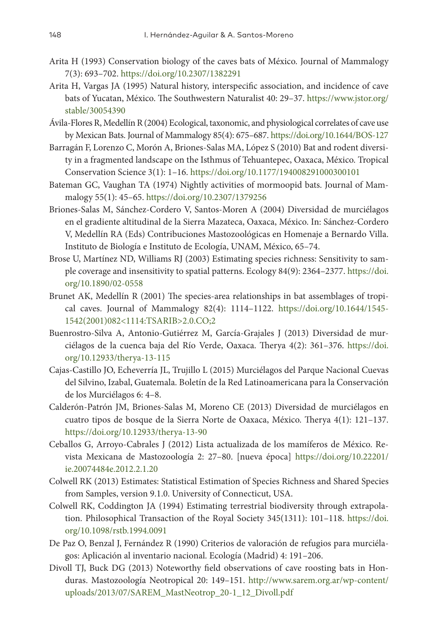- Arita H (1993) Conservation biology of the caves bats of México. Journal of Mammalogy 7(3): 693–702.<https://doi.org/10.2307/1382291>
- Arita H, Vargas JA (1995) Natural history, interspecific association, and incidence of cave bats of Yucatan, México. The Southwestern Naturalist 40: 29–37. [https://www.jstor.org/](https://www.jstor.org/stable/30054390) [stable/30054390](https://www.jstor.org/stable/30054390)
- Ávila-Flores R, Medellín R (2004) Ecological, taxonomic, and physiological correlates of cave use by Mexican Bats. Journal of Mammalogy 85(4): 675–687.<https://doi.org/10.1644/BOS-127>
- Barragán F, Lorenzo C, Morón A, Briones-Salas MA, López S (2010) Bat and rodent diversity in a fragmented landscape on the Isthmus of Tehuantepec, Oaxaca, México. Tropical Conservation Science 3(1): 1–16.<https://doi.org/10.1177/194008291000300101>
- Bateman GC, Vaughan TA (1974) Nightly activities of mormoopid bats. Journal of Mammalogy 55(1): 45–65.<https://doi.org/10.2307/1379256>
- Briones-Salas M, Sánchez-Cordero V, Santos-Moren A (2004) Diversidad de murciélagos en el gradiente altitudinal de la Sierra Mazateca, Oaxaca, México. In: Sánchez-Cordero V, Medellín RA (Eds) Contribuciones Mastozoológicas en Homenaje a Bernardo Villa. Instituto de Biología e Instituto de Ecología, UNAM, México, 65–74.
- Brose U, Martínez ND, Williams RJ (2003) Estimating species richness: Sensitivity to sample coverage and insensitivity to spatial patterns. Ecology 84(9): 2364–2377. [https://doi.](https://doi.org/10.1890/02-0558) [org/10.1890/02-0558](https://doi.org/10.1890/02-0558)
- Brunet AK, Medellín R (2001) The species-area relationships in bat assemblages of tropical caves. Journal of Mammalogy 82(4): 1114–1122. [https://doi.org/10.1644/1545-](https://doi.org/10.1644/1545-1542(2001)082%3C1114:TSARIB%3E2.0.CO;2) [1542\(2001\)082<1114:TSARIB>2.0.CO;2](https://doi.org/10.1644/1545-1542(2001)082%3C1114:TSARIB%3E2.0.CO;2)
- Buenrostro-Silva A, Antonio-Gutiérrez M, García-Grajales J (2013) Diversidad de murciélagos de la cuenca baja del Río Verde, Oaxaca. Therya 4(2): 361–376. [https://doi.](https://doi.org/10.12933/therya-13-115) [org/10.12933/therya-13-115](https://doi.org/10.12933/therya-13-115)
- Cajas-Castillo JO, Echeverría JL, Trujillo L (2015) Murciélagos del Parque Nacional Cuevas del Silvino, Izabal, Guatemala. Boletín de la Red Latinoamericana para la Conservación de los Murciélagos 6: 4–8.
- Calderón-Patrón JM, Briones-Salas M, Moreno CE (2013) Diversidad de murciélagos en cuatro tipos de bosque de la Sierra Norte de Oaxaca, México. Therya 4(1): 121–137. <https://doi.org/10.12933/therya-13-90>
- Ceballos G, Arroyo-Cabrales J (2012) Lista actualizada de los mamíferos de México. Revista Mexicana de Mastozoología 2: 27–80. [nueva época] [https://doi.org/10.22201/](https://doi.org/10.22201/ie.20074484e.2012.2.1.20) [ie.20074484e.2012.2.1.20](https://doi.org/10.22201/ie.20074484e.2012.2.1.20)
- Colwell RK (2013) Estimates: Statistical Estimation of Species Richness and Shared Species from Samples, version 9.1.0. University of Connecticut, USA.
- Colwell RK, Coddington JA (1994) Estimating terrestrial biodiversity through extrapolation. Philosophical Transaction of the Royal Society 345(1311): 101–118. [https://doi.](https://doi.org/10.1098/rstb.1994.0091) [org/10.1098/rstb.1994.0091](https://doi.org/10.1098/rstb.1994.0091)
- De Paz O, Benzal J, Fernández R (1990) Criterios de valoración de refugios para murciélagos: Aplicación al inventario nacional. Ecología (Madrid) 4: 191–206.
- Divoll TJ, Buck DG (2013) Noteworthy field observations of cave roosting bats in Honduras. Mastozoología Neotropical 20: 149–151. [http://www.sarem.org.ar/wp-content/](http://www.sarem.org.ar/wp-content/uploads/2013/07/SAREM_MastNeotrop_20-1_12_Divoll.pdf) [uploads/2013/07/SAREM\\_MastNeotrop\\_20-1\\_12\\_Divoll.pdf](http://www.sarem.org.ar/wp-content/uploads/2013/07/SAREM_MastNeotrop_20-1_12_Divoll.pdf)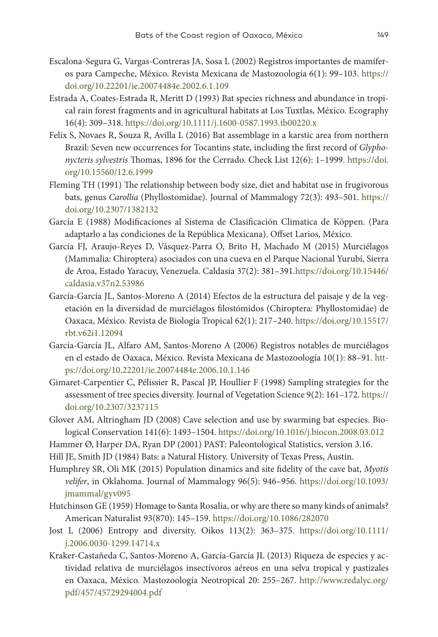- Escalona-Segura G, Vargas-Contreras JA, Sosa L (2002) Registros importantes de mamíferos para Campeche, México. Revista Mexicana de Mastozoología 6(1): 99–103. [https://](https://doi.org/10.22201/ie.20074484e.2002.6.1.109) [doi.org/10.22201/ie.20074484e.2002.6.1.109](https://doi.org/10.22201/ie.20074484e.2002.6.1.109)
- Estrada A, Coates-Estrada R, Meritt D (1993) Bat species richness and abundance in tropical rain forest fragments and in agricultural habitats at Los Tuxtlas, México. Ecography 16(4): 309–318. <https://doi.org/10.1111/j.1600-0587.1993.tb00220.x>
- Felix S, Novaes R, Souza R, Avilla L (2016) Bat assemblage in a karstic area from northern Brazil: Seven new occurrences for Tocantins state, including the first record of *Glyphonycteris sylvestris* Thomas, 1896 for the Cerrado. Check List 12(6): 1–1999. [https://doi.](https://doi.org/10.15560/12.6.1999) [org/10.15560/12.6.1999](https://doi.org/10.15560/12.6.1999)
- Fleming TH (1991) The relationship between body size, diet and habitat use in frugivorous bats, genus *Carollia* (Phyllostomidae). Journal of Mammalogy 72(3): 493–501. [https://](https://doi.org/10.2307/1382132) [doi.org/10.2307/1382132](https://doi.org/10.2307/1382132)
- García E (1988) Modificaciones al Sistema de Clasificación Climatica de Köppen. (Para adaptarlo a las condiciones de la República Mexicana). Offset Larios, México.
- García FJ, Araujo-Reyes D, Vásquez-Parra O, Brito H, Machado M (2015) Murciélagos (Mammalia: Chiroptera) asociados con una cueva en el Parque Nacional Yurubí, Sierra de Aroa, Estado Yaracuy, Venezuela. Caldasia 37(2): 381–391[.https://doi.org/10.15446/](https://doi.org/10.15446/caldasia.v37n2.53986) [caldasia.v37n2.53986](https://doi.org/10.15446/caldasia.v37n2.53986)
- García-García JL, Santos-Moreno A (2014) Efectos de la estructura del paisaje y de la vegetación en la diversidad de murciélagos filostómidos (Chiroptera: Phyllostomidae) de Oaxaca, México. Revista de Biología Tropical 62(1): 217–240. [https://doi.org/10.15517/](https://doi.org/10.15517/rbt.v62i1.12094) [rbt.v62i1.12094](https://doi.org/10.15517/rbt.v62i1.12094)
- García-García JL, Alfaro AM, Santos-Moreno A (2006) Registros notables de murciélagos en el estado de Oaxaca, México. Revista Mexicana de Mastozoología 10(1): 88–91. [htt](https://doi.org/10.22201/ie.20074484e.2006.10.1.146)[ps://doi.org/10.22201/ie.20074484e.2006.10.1.146](https://doi.org/10.22201/ie.20074484e.2006.10.1.146)
- Gimaret-Carpentier C, Pélissier R, Pascal JP, Houllier F (1998) Sampling strategies for the assessment of tree species diversity. Journal of Vegetation Science 9(2): 161–172. [https://](https://doi.org/10.2307/3237115) [doi.org/10.2307/3237115](https://doi.org/10.2307/3237115)
- Glover AM, Altringham JD (2008) Cave selection and use by swarming bat especies. Biological Conservation 141(6): 1493–1504.<https://doi.org/10.1016/j.biocon.2008.03.012>
- Hammer Ø, Harper DA, Ryan DP (2001) PAST: Paleontological Statistics, version 3.16.
- Hill JE, Smith JD (1984) Bats: a Natural History. University of Texas Press, Austin.
- Humphrey SR, Oli MK (2015) Population dinamics and site fidelity of the cave bat, *Myotis velifer*, in Oklahoma. Journal of Mammalogy 96(5): 946–956. [https://doi.org/10.1093/](https://doi.org/10.1093/jmammal/gyv095) [jmammal/gyv095](https://doi.org/10.1093/jmammal/gyv095)
- Hutchinson GE (1959) Homage to Santa Rosalia, or why are there so many kinds of animals? American Naturalist 93(870): 145–159.<https://doi.org/10.1086/282070>
- Jost L (2006) Entropy and diversity. Oikos 113(2): 363–375. [https://doi.org/10.1111/](https://doi.org/10.1111/j.2006.0030-1299.14714.x) [j.2006.0030-1299.14714.x](https://doi.org/10.1111/j.2006.0030-1299.14714.x)
- Kraker-Castañeda C, Santos-Moreno A, García-García JL (2013) Riqueza de especies y actividad relativa de murciélagos insectívoros aéreos en una selva tropical y pastizales en Oaxaca, México. Mastozoología Neotropical 20: 255–267. [http://www.redalyc.org/](http://www.redalyc.org/pdf/457/45729294004.pdf) [pdf/457/45729294004.pdf](http://www.redalyc.org/pdf/457/45729294004.pdf)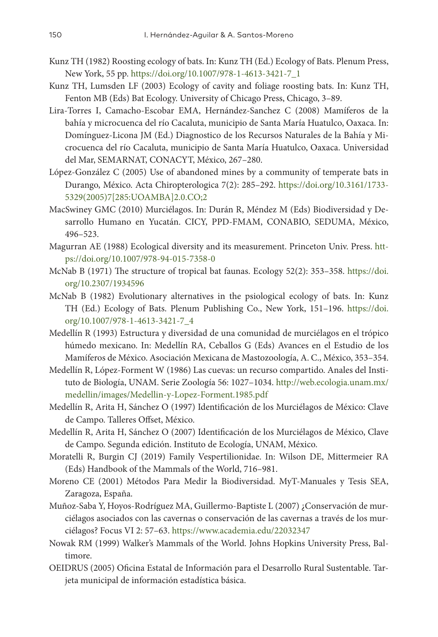- Kunz TH (1982) Roosting ecology of bats. In: Kunz TH (Ed.) Ecology of Bats. Plenum Press, New York, 55 pp. [https://doi.org/10.1007/978-1-4613-3421-7\\_1](https://doi.org/10.1007/978-1-4613-3421-7_1)
- Kunz TH, Lumsden LF (2003) Ecology of cavity and foliage roosting bats. In: Kunz TH, Fenton MB (Eds) Bat Ecology. University of Chicago Press, Chicago, 3–89.
- Lira-Torres I, Camacho-Escobar EMA, Hernández-Sanchez C (2008) Mamíferos de la bahía y microcuenca del río Cacaluta, municipio de Santa María Huatulco, Oaxaca. In: Domínguez-Licona JM (Ed.) Diagnostico de los Recursos Naturales de la Bahía y Microcuenca del río Cacaluta, municipio de Santa María Huatulco, Oaxaca. Universidad del Mar, SEMARNAT, CONACYT, México, 267–280.
- López-González C (2005) Use of abandoned mines by a community of temperate bats in Durango, México. Acta Chiropterologica 7(2): 285–292. [https://doi.org/10.3161/1733-](https://doi.org/10.3161/1733-5329(2005)7%5B285:UOAMBA%5D2.0.CO;2) [5329\(2005\)7\[285:UOAMBA\]2.0.CO;2](https://doi.org/10.3161/1733-5329(2005)7%5B285:UOAMBA%5D2.0.CO;2)
- MacSwiney GMC (2010) Murciélagos. In: Durán R, Méndez M (Eds) Biodiversidad y Desarrollo Humano en Yucatán. CICY, PPD-FMAM, CONABIO, SEDUMA, México, 496–523.
- Magurran AE (1988) Ecological diversity and its measurement. Princeton Univ. Press. [htt](https://doi.org/10.1007/978-94-015-7358-0)[ps://doi.org/10.1007/978-94-015-7358-0](https://doi.org/10.1007/978-94-015-7358-0)
- McNab B (1971) The structure of tropical bat faunas. Ecology 52(2): 353–358. [https://doi.](https://doi.org/10.2307/1934596) [org/10.2307/1934596](https://doi.org/10.2307/1934596)
- McNab B (1982) Evolutionary alternatives in the psiological ecology of bats. In: Kunz TH (Ed.) Ecology of Bats. Plenum Publishing Co., New York, 151–196. [https://doi.](https://doi.org/10.1007/978-1-4613-3421-7_4) [org/10.1007/978-1-4613-3421-7\\_4](https://doi.org/10.1007/978-1-4613-3421-7_4)
- Medellín R (1993) Estructura y diversidad de una comunidad de murciélagos en el trópico húmedo mexicano. In: Medellín RA, Ceballos G (Eds) Avances en el Estudio de los Mamíferos de México. Asociación Mexicana de Mastozoología, A. C., México, 353–354.
- Medellín R, López-Forment W (1986) Las cuevas: un recurso compartido. Anales del Instituto de Biología, UNAM. Serie Zoología 56: 1027–1034. [http://web.ecologia.unam.mx/](http://web.ecologia.unam.mx/medellin/images/Medellin-y-Lopez-Forment.1985.pdf) [medellin/images/Medellin-y-Lopez-Forment.1985.pdf](http://web.ecologia.unam.mx/medellin/images/Medellin-y-Lopez-Forment.1985.pdf)
- Medellín R, Arita H, Sánchez O (1997) Identificación de los Murciélagos de México: Clave de Campo. Talleres Offset, México.
- Medellín R, Arita H, Sánchez O (2007) Identificación de los Murciélagos de México, Clave de Campo. Segunda edición. Instituto de Ecología, UNAM, México.
- Moratelli R, Burgin CJ (2019) Family Vespertilionidae. In: Wilson DE, Mittermeier RA (Eds) Handbook of the Mammals of the World, 716–981.
- Moreno CE (2001) Métodos Para Medir la Biodiversidad. MyT-Manuales y Tesis SEA, Zaragoza, España.
- Muñoz-Saba Y, Hoyos-Rodríguez MA, Guillermo-Baptiste L (2007) ¿Conservación de murciélagos asociados con las cavernas o conservación de las cavernas a través de los murciélagos? Focus VI 2: 57–63. <https://www.academia.edu/22032347>
- Nowak RM (1999) Walker's Mammals of the World. Johns Hopkins University Press, Baltimore.
- OEIDRUS (2005) Oficina Estatal de Información para el Desarrollo Rural Sustentable. Tarjeta municipal de información estadística básica.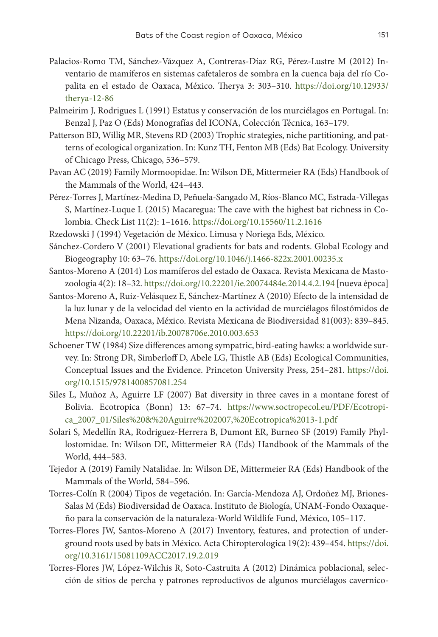- Palacios-Romo TM, Sánchez-Vázquez A, Contreras-Díaz RG, Pérez-Lustre M (2012) Inventario de mamíferos en sistemas cafetaleros de sombra en la cuenca baja del río Copalita en el estado de Oaxaca, México. Therya 3: 303–310. [https://doi.org/10.12933/](https://doi.org/10.12933/therya-12-86) [therya-12-86](https://doi.org/10.12933/therya-12-86)
- Palmeirim J, Rodrigues L (1991) Estatus y conservación de los murciélagos en Portugal. In: Benzal J, Paz O (Eds) Monografías del ICONA, Colección Técnica, 163–179.
- Patterson BD, Willig MR, Stevens RD (2003) Trophic strategies, niche partitioning, and patterns of ecological organization. In: Kunz TH, Fenton MB (Eds) Bat Ecology. University of Chicago Press, Chicago, 536–579.
- Pavan AC (2019) Family Mormoopidae. In: Wilson DE, Mittermeier RA (Eds) Handbook of the Mammals of the World, 424–443.
- Pérez-Torres J, Martínez-Medina D, Peñuela-Sangado M, Ríos-Blanco MC, Estrada-Villegas S, Martínez-Luque L (2015) Macaregua: The cave with the highest bat richness in Colombia. Check List 11(2): 1–1616.<https://doi.org/10.15560/11.2.1616>
- Rzedowski J (1994) Vegetación de México. Limusa y Noriega Eds, México.
- Sánchez-Cordero V (2001) Elevational gradients for bats and rodents. Global Ecology and Biogeography 10: 63–76. <https://doi.org/10.1046/j.1466-822x.2001.00235.x>
- Santos-Moreno A (2014) Los mamíferos del estado de Oaxaca. Revista Mexicana de Mastozoología 4(2): 18–32.<https://doi.org/10.22201/ie.20074484e.2014.4.2.194>[nueva época]
- Santos-Moreno A, Ruiz-Velásquez E, Sánchez-Martínez A (2010) Efecto de la intensidad de la luz lunar y de la velocidad del viento en la actividad de murciélagos filostómidos de Mena Nizanda, Oaxaca, México. Revista Mexicana de Biodiversidad 81(003): 839–845. <https://doi.org/10.22201/ib.20078706e.2010.003.653>
- Schoener TW (1984) Size differences among sympatric, bird-eating hawks: a worldwide survey. In: Strong DR, Simberloff D, Abele LG, Thistle AB (Eds) Ecological Communities, Conceptual Issues and the Evidence. Princeton University Press, 254–281. [https://doi.](https://doi.org/10.1515/9781400857081.254) [org/10.1515/9781400857081.254](https://doi.org/10.1515/9781400857081.254)
- Siles L, Muñoz A, Aguirre LF (2007) Bat diversity in three caves in a montane forest of Bolivia. Ecotropica (Bonn) 13: 67–74. [https://www.soctropecol.eu/PDF/Ecotropi](https://www.soctropecol.eu/PDF/Ecotropica_2007_01/Siles%20&%20Aguirre%202007,%20Ecotropica%2013-1.pdf)[ca\\_2007\\_01/Siles%20&%20Aguirre%202007,%20Ecotropica%2013-1.pdf](https://www.soctropecol.eu/PDF/Ecotropica_2007_01/Siles%20&%20Aguirre%202007,%20Ecotropica%2013-1.pdf)
- Solari S, Medellín RA, Rodriguez-Herrera B, Dumont ER, Burneo SF (2019) Family Phyllostomidae. In: Wilson DE, Mittermeier RA (Eds) Handbook of the Mammals of the World, 444–583.
- Tejedor A (2019) Family Natalidae. In: Wilson DE, Mittermeier RA (Eds) Handbook of the Mammals of the World, 584–596.
- Torres-Colín R (2004) Tipos de vegetación. In: García-Mendoza AJ, Ordoñez MJ, Briones-Salas M (Eds) Biodiversidad de Oaxaca. Instituto de Biología, UNAM-Fondo Oaxaqueño para la conservación de la naturaleza-World Wildlife Fund, México, 105–117.
- Torres-Flores JW, Santos-Moreno A (2017) Inventory, features, and protection of underground roots used by bats in México. Acta Chiropterologica 19(2): 439–454. [https://doi.](https://doi.org/10.3161/15081109ACC2017.19.2.019) [org/10.3161/15081109ACC2017.19.2.019](https://doi.org/10.3161/15081109ACC2017.19.2.019)
- Torres-Flores JW, López-Wilchis R, Soto-Castruita A (2012) Dinámica poblacional, selección de sitios de percha y patrones reproductivos de algunos murciélagos caverníco-